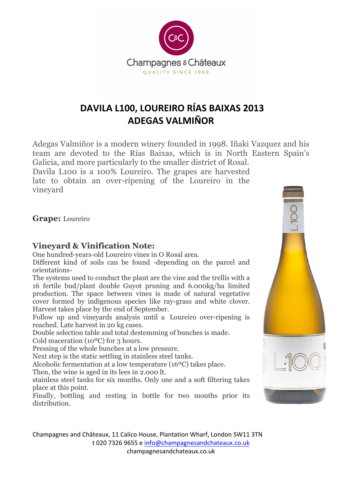

# **DAVILA L100, LOUREIRO RÍAS BAIXAS 2013 ADEGAS VALMIÑOR**

Adegas Valmiñor is a modern winery founded in 1998. Iñaki Vazquez and his team are devoted to the Rías Baixas, which is in North Eastern Spain's Galicia, and more particularly to the smaller district of Rosal. Davila L100 is a 100% Loureiro. The grapes are harvested late to obtain an over-ripening of the Loureiro in the vineyard

**Grape:** Loureiro

## **Vineyard & Vinification Note:**

One hundred-years-old Loureiro vines in O Rosal area.

Different kind of soils can be found -depending on the parcel and orientations-

The systems used to conduct the plant are the vine and the trellis with a 16 fertile bud/plant double Guyot pruning and 6.000kg/ha limited production. The space between vines is made of natural vegetative cover formed by indigenous species like ray-grass and white clover. Harvest takes place by the end of September.

Follow up and vineyards analysis until a Loureiro over-ripening is reached. Late harvest in 20 kg cases.

Double selection table and total destemming of bunches is made.

Cold maceration (10ºC) for 3 hours.

Pressing of the whole bunches at a low pressure.

Next step is the static settling in stainless steel tanks.

Alcoholic fermentation at a low temperature (16ºC) takes place.

Then, the wine is aged in its lees in 2.000 lt.

stainless steel tanks for six months. Only one and a soft filtering takes place at this point.

Finally, bottling and resting in bottle for two months prior its distribution.

Champagnes and Châteaux, 11 Calico House, Plantation Wharf, London SW11 3TN t 020 7326 9655 e info@champagnesandchateaux.co.uk champagnesandchateaux.co.uk